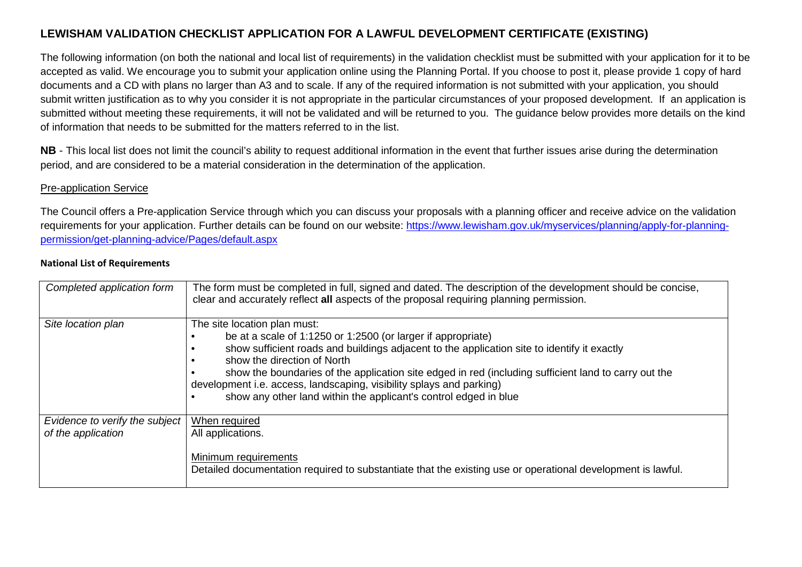# **LEWISHAM VALIDATION CHECKLIST APPLICATION FOR A LAWFUL DEVELOPMENT CERTIFICATE (EXISTING)**

The following information (on both the national and local list of requirements) in the validation checklist must be submitted with your application for it to be accepted as valid. We encourage you to submit your application online using the Planning Portal. If you choose to post it, please provide 1 copy of hard documents and a CD with plans no larger than A3 and to scale. If any of the required information is not submitted with your application, you should submit written justification as to why you consider it is not appropriate in the particular circumstances of your proposed development. If an application is submitted without meeting these requirements, it will not be validated and will be returned to you. The guidance below provides more details on the kindof information that needs to be submitted for the matters referred to in the list.

**NB** - This local list does not limit the council's ability to request additional information in the event that further issues arise during the determination period, and are considered to be a material consideration in the determination of the application.

#### Pre-application Service

The Council offers a Pre-application Service through which you can discuss your proposals with a planning officer and receive advice on the validation requirements for your application. Further details can be found on our website: https://www.lewisham.gov.uk/myservices/planning/apply-for-planningpermission/get-planning-advice/Pages/default.aspx

#### **National List of Requirements**

| Completed application form                           | The form must be completed in full, signed and dated. The description of the development should be concise,<br>clear and accurately reflect all aspects of the proposal requiring planning permission.                                                                                                                                                                                                                                                                         |
|------------------------------------------------------|--------------------------------------------------------------------------------------------------------------------------------------------------------------------------------------------------------------------------------------------------------------------------------------------------------------------------------------------------------------------------------------------------------------------------------------------------------------------------------|
| Site location plan                                   | The site location plan must:<br>be at a scale of 1:1250 or 1:2500 (or larger if appropriate)<br>show sufficient roads and buildings adjacent to the application site to identify it exactly<br>show the direction of North<br>show the boundaries of the application site edged in red (including sufficient land to carry out the<br>development i.e. access, landscaping, visibility splays and parking)<br>show any other land within the applicant's control edged in blue |
| Evidence to verify the subject<br>of the application | When required<br>All applications.<br>Minimum requirements<br>Detailed documentation required to substantiate that the existing use or operational development is lawful.                                                                                                                                                                                                                                                                                                      |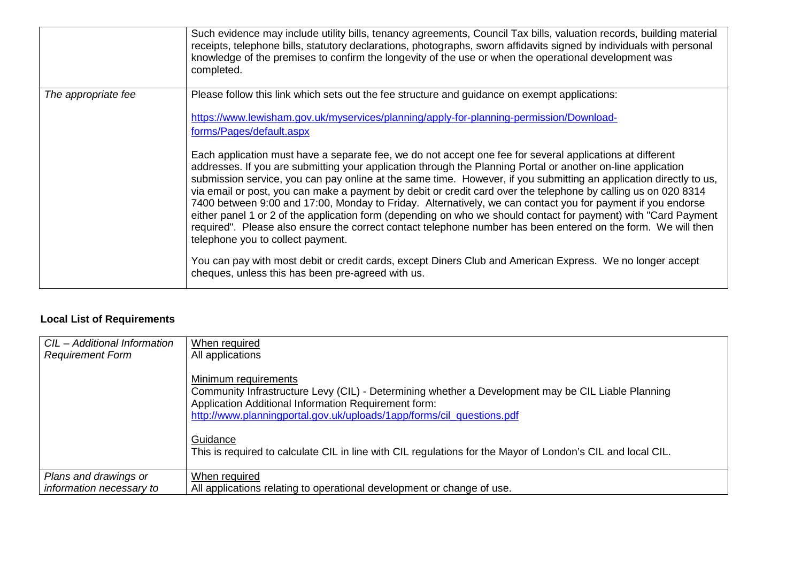|                     | Such evidence may include utility bills, tenancy agreements, Council Tax bills, valuation records, building material<br>receipts, telephone bills, statutory declarations, photographs, sworn affidavits signed by individuals with personal<br>knowledge of the premises to confirm the longevity of the use or when the operational development was<br>completed.                                                                                                                                                                                                                                                                                                                                                                                                                                                                                                                                                                                                                                                                                                                                                                                                                                                                                 |
|---------------------|-----------------------------------------------------------------------------------------------------------------------------------------------------------------------------------------------------------------------------------------------------------------------------------------------------------------------------------------------------------------------------------------------------------------------------------------------------------------------------------------------------------------------------------------------------------------------------------------------------------------------------------------------------------------------------------------------------------------------------------------------------------------------------------------------------------------------------------------------------------------------------------------------------------------------------------------------------------------------------------------------------------------------------------------------------------------------------------------------------------------------------------------------------------------------------------------------------------------------------------------------------|
| The appropriate fee | Please follow this link which sets out the fee structure and guidance on exempt applications:<br>https://www.lewisham.gov.uk/myservices/planning/apply-for-planning-permission/Download-<br>forms/Pages/default.aspx<br>Each application must have a separate fee, we do not accept one fee for several applications at different<br>addresses. If you are submitting your application through the Planning Portal or another on-line application<br>submission service, you can pay online at the same time. However, if you submitting an application directly to us,<br>via email or post, you can make a payment by debit or credit card over the telephone by calling us on 020 8314<br>7400 between 9:00 and 17:00, Monday to Friday. Alternatively, we can contact you for payment if you endorse<br>either panel 1 or 2 of the application form (depending on who we should contact for payment) with "Card Payment<br>required". Please also ensure the correct contact telephone number has been entered on the form. We will then<br>telephone you to collect payment.<br>You can pay with most debit or credit cards, except Diners Club and American Express. We no longer accept<br>cheques, unless this has been pre-agreed with us. |

# **Local List of Requirements**

| CIL - Additional Information | When required                                                                                                                                                                                                                                                                   |
|------------------------------|---------------------------------------------------------------------------------------------------------------------------------------------------------------------------------------------------------------------------------------------------------------------------------|
| <b>Requirement Form</b>      | All applications<br>Minimum requirements<br>Community Infrastructure Levy (CIL) - Determining whether a Development may be CIL Liable Planning<br>Application Additional Information Requirement form:<br>http://www.planningportal.gov.uk/uploads/1app/forms/cil_questions.pdf |
|                              | Guidance<br>This is required to calculate CIL in line with CIL regulations for the Mayor of London's CIL and local CIL.                                                                                                                                                         |
| Plans and drawings or        | When required                                                                                                                                                                                                                                                                   |
| information necessary to     | All applications relating to operational development or change of use.                                                                                                                                                                                                          |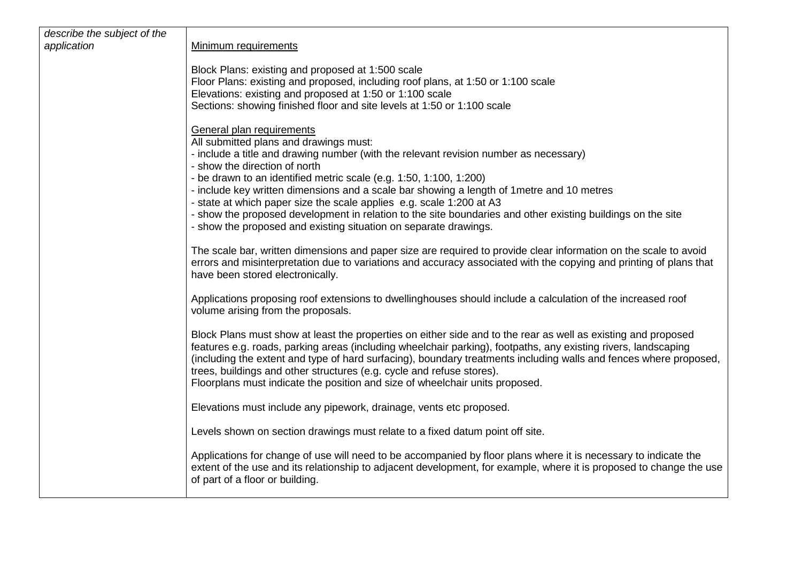| describe the subject of the<br>application | Minimum requirements                                                                                                                                                                                                                                                                                                                                                                                                                                                                                          |
|--------------------------------------------|---------------------------------------------------------------------------------------------------------------------------------------------------------------------------------------------------------------------------------------------------------------------------------------------------------------------------------------------------------------------------------------------------------------------------------------------------------------------------------------------------------------|
|                                            |                                                                                                                                                                                                                                                                                                                                                                                                                                                                                                               |
|                                            | Block Plans: existing and proposed at 1:500 scale<br>Floor Plans: existing and proposed, including roof plans, at 1:50 or 1:100 scale                                                                                                                                                                                                                                                                                                                                                                         |
|                                            | Elevations: existing and proposed at 1:50 or 1:100 scale                                                                                                                                                                                                                                                                                                                                                                                                                                                      |
|                                            | Sections: showing finished floor and site levels at 1:50 or 1:100 scale                                                                                                                                                                                                                                                                                                                                                                                                                                       |
|                                            | General plan requirements                                                                                                                                                                                                                                                                                                                                                                                                                                                                                     |
|                                            | All submitted plans and drawings must:                                                                                                                                                                                                                                                                                                                                                                                                                                                                        |
|                                            | - include a title and drawing number (with the relevant revision number as necessary)<br>- show the direction of north                                                                                                                                                                                                                                                                                                                                                                                        |
|                                            | - be drawn to an identified metric scale (e.g. 1:50, 1:100, 1:200)                                                                                                                                                                                                                                                                                                                                                                                                                                            |
|                                            | - include key written dimensions and a scale bar showing a length of 1 metre and 10 metres<br>- state at which paper size the scale applies e.g. scale 1:200 at A3                                                                                                                                                                                                                                                                                                                                            |
|                                            | - show the proposed development in relation to the site boundaries and other existing buildings on the site                                                                                                                                                                                                                                                                                                                                                                                                   |
|                                            | - show the proposed and existing situation on separate drawings.                                                                                                                                                                                                                                                                                                                                                                                                                                              |
|                                            | The scale bar, written dimensions and paper size are required to provide clear information on the scale to avoid<br>errors and misinterpretation due to variations and accuracy associated with the copying and printing of plans that<br>have been stored electronically.                                                                                                                                                                                                                                    |
|                                            | Applications proposing roof extensions to dwellinghouses should include a calculation of the increased roof<br>volume arising from the proposals.                                                                                                                                                                                                                                                                                                                                                             |
|                                            | Block Plans must show at least the properties on either side and to the rear as well as existing and proposed<br>features e.g. roads, parking areas (including wheelchair parking), footpaths, any existing rivers, landscaping<br>(including the extent and type of hard surfacing), boundary treatments including walls and fences where proposed,<br>trees, buildings and other structures (e.g. cycle and refuse stores).<br>Floorplans must indicate the position and size of wheelchair units proposed. |
|                                            | Elevations must include any pipework, drainage, vents etc proposed.                                                                                                                                                                                                                                                                                                                                                                                                                                           |
|                                            | Levels shown on section drawings must relate to a fixed datum point off site.                                                                                                                                                                                                                                                                                                                                                                                                                                 |
|                                            | Applications for change of use will need to be accompanied by floor plans where it is necessary to indicate the<br>extent of the use and its relationship to adjacent development, for example, where it is proposed to change the use<br>of part of a floor or building.                                                                                                                                                                                                                                     |